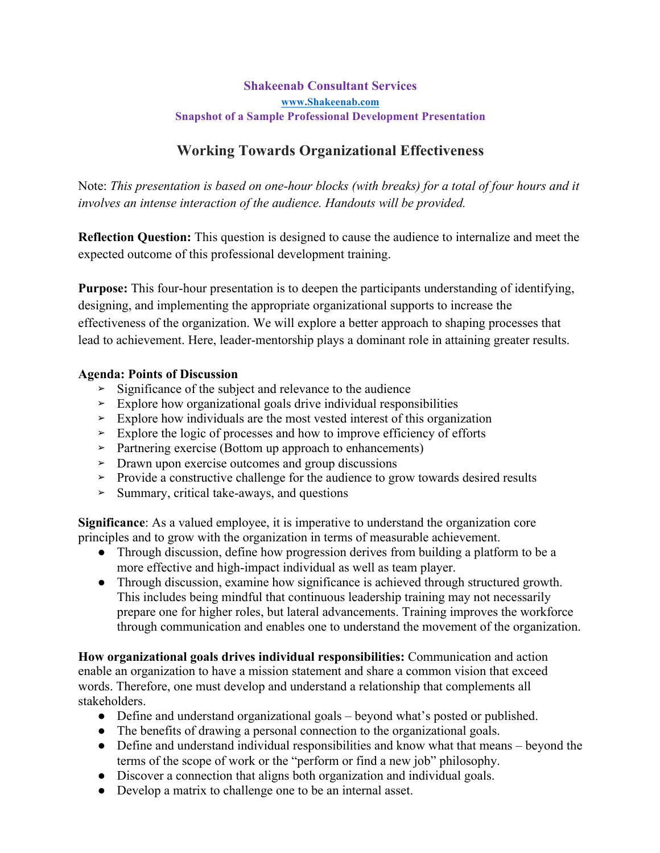### **Shakeenab Consultant Services www.Shakeenab.com Snapshot of a Sample Professional Development Presentation**

# **Working Towards Organizational Effectiveness**

Note: *This presentation is based on one-hour blocks (with breaks) for a total of four hours and it involves an intense interaction of the audience. Handouts will be provided.*

**Reflection Question:** This question is designed to cause the audience to internalize and meet the expected outcome of this professional development training.

**Purpose:** This four-hour presentation is to deepen the participants understanding of identifying, designing, and implementing the appropriate organizational supports to increase the effectiveness of the organization. We will explore a better approach to shaping processes that lead to achievement. Here, leader-mentorship plays a dominant role in attaining greater results.

#### **Agenda: Points of Discussion**

- **➢** Significance of the subject and relevance to the audience
- **➢** Explore how organizational goals drive individual responsibilities
- **➢** Explore how individuals are the most vested interest of this organization
- **➢** Explore the logic of processes and how to improve efficiency of efforts
- **➢** Partnering exercise (Bottom up approach to enhancements)
- **➢** Drawn upon exercise outcomes and group discussions
- **➢** Provide a constructive challenge for the audience to grow towards desired results
- **➢** Summary, critical take-aways, and questions

**Significance**: As a valued employee, it is imperative to understand the organization core principles and to grow with the organization in terms of measurable achievement.

- Through discussion, define how progression derives from building a platform to be a more effective and high-impact individual as well as team player.
- Through discussion, examine how significance is achieved through structured growth. This includes being mindful that continuous leadership training may not necessarily prepare one for higher roles, but lateral advancements. Training improves the workforce through communication and enables one to understand the movement of the organization.

**How organizational goals drives individual responsibilities:** Communication and action enable an organization to have a mission statement and share a common vision that exceed words. Therefore, one must develop and understand a relationship that complements all stakeholders.

- Define and understand organizational goals beyond what's posted or published.
- The benefits of drawing a personal connection to the organizational goals.
- Define and understand individual responsibilities and know what that means beyond the terms of the scope of work or the "perform or find a new job" philosophy.
- Discover a connection that aligns both organization and individual goals.
- Develop a matrix to challenge one to be an internal asset.